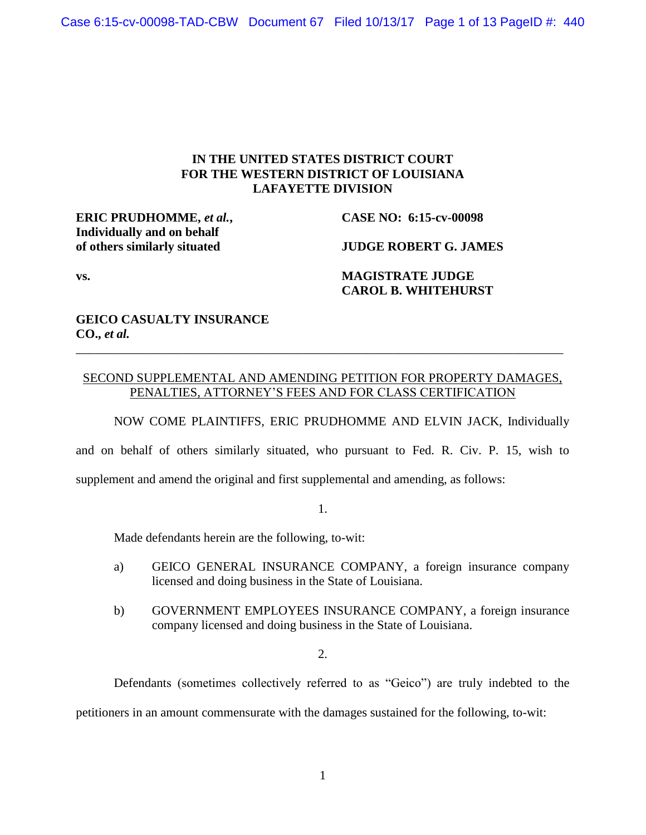# **IN THE UNITED STATES DISTRICT COURT FOR THE WESTERN DISTRICT OF LOUISIANA LAFAYETTE DIVISION**

**ERIC PRUDHOMME,** *et al.***, CASE NO: 6:15-cv-00098 Individually and on behalf**

**of others similarly situated JUDGE ROBERT G. JAMES**

# **vs. MAGISTRATE JUDGE CAROL B. WHITEHURST**

# **GEICO CASUALTY INSURANCE CO.,** *et al.*

# SECOND SUPPLEMENTAL AND AMENDING PETITION FOR PROPERTY DAMAGES, PENALTIES, ATTORNEY'S FEES AND FOR CLASS CERTIFICATION

\_\_\_\_\_\_\_\_\_\_\_\_\_\_\_\_\_\_\_\_\_\_\_\_\_\_\_\_\_\_\_\_\_\_\_\_\_\_\_\_\_\_\_\_\_\_\_\_\_\_\_\_\_\_\_\_\_\_\_\_\_\_\_\_\_\_\_\_\_\_\_\_\_\_\_\_\_

NOW COME PLAINTIFFS, ERIC PRUDHOMME AND ELVIN JACK, Individually

and on behalf of others similarly situated, who pursuant to Fed. R. Civ. P. 15, wish to

supplement and amend the original and first supplemental and amending, as follows:

1.

Made defendants herein are the following, to-wit:

- a) GEICO GENERAL INSURANCE COMPANY, a foreign insurance company licensed and doing business in the State of Louisiana.
- b) GOVERNMENT EMPLOYEES INSURANCE COMPANY, a foreign insurance company licensed and doing business in the State of Louisiana.

2.

Defendants (sometimes collectively referred to as "Geico") are truly indebted to the

petitioners in an amount commensurate with the damages sustained for the following, to-wit: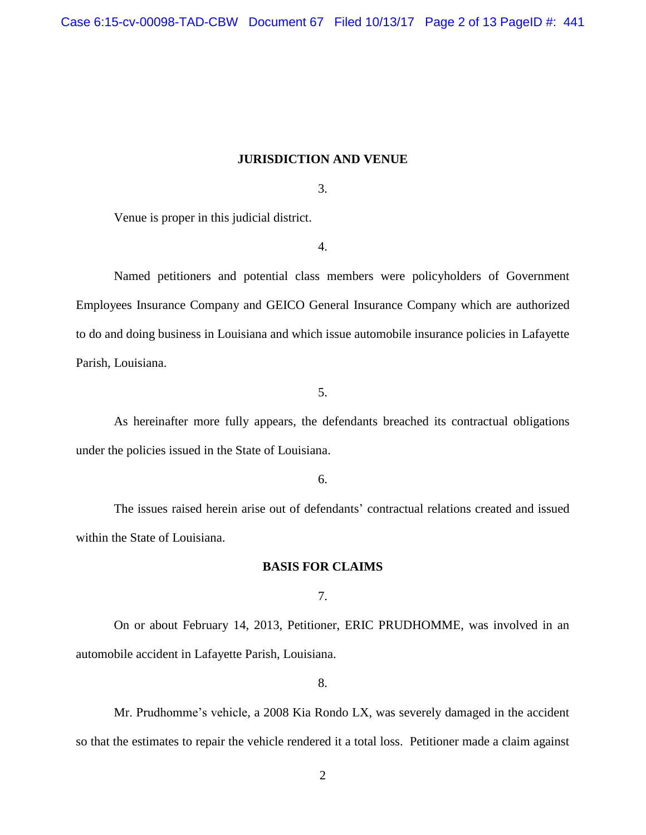## **JURISDICTION AND VENUE**

3.

Venue is proper in this judicial district.

4.

Named petitioners and potential class members were policyholders of Government Employees Insurance Company and GEICO General Insurance Company which are authorized to do and doing business in Louisiana and which issue automobile insurance policies in Lafayette Parish, Louisiana.

5.

As hereinafter more fully appears, the defendants breached its contractual obligations under the policies issued in the State of Louisiana.

6.

The issues raised herein arise out of defendants' contractual relations created and issued within the State of Louisiana.

## **BASIS FOR CLAIMS**

7.

On or about February 14, 2013, Petitioner, ERIC PRUDHOMME, was involved in an automobile accident in Lafayette Parish, Louisiana.

8.

Mr. Prudhomme's vehicle, a 2008 Kia Rondo LX, was severely damaged in the accident so that the estimates to repair the vehicle rendered it a total loss. Petitioner made a claim against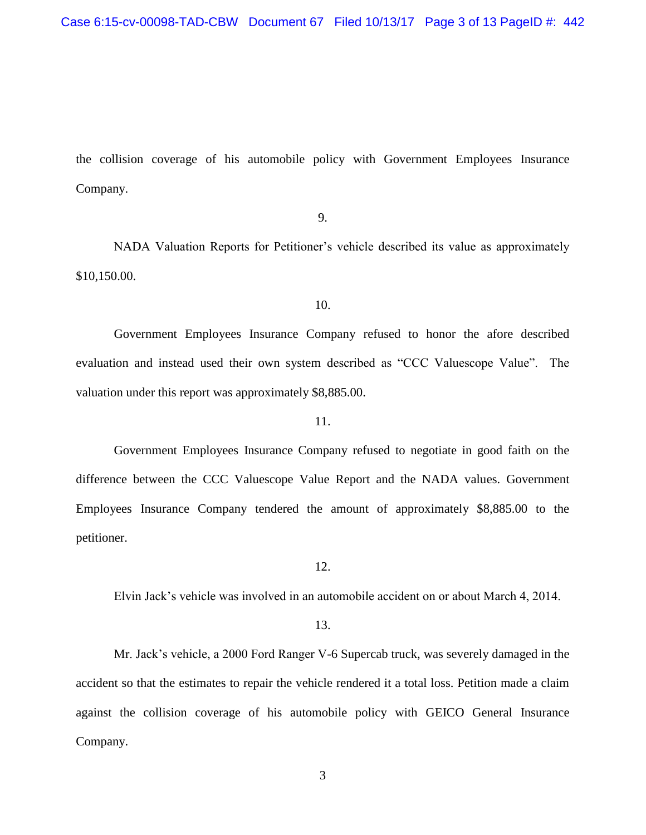the collision coverage of his automobile policy with Government Employees Insurance Company.

## 9.

NADA Valuation Reports for Petitioner's vehicle described its value as approximately \$10,150.00.

## 10.

Government Employees Insurance Company refused to honor the afore described evaluation and instead used their own system described as "CCC Valuescope Value". The valuation under this report was approximately \$8,885.00.

## 11.

Government Employees Insurance Company refused to negotiate in good faith on the difference between the CCC Valuescope Value Report and the NADA values. Government Employees Insurance Company tendered the amount of approximately \$8,885.00 to the petitioner.

12.

Elvin Jack's vehicle was involved in an automobile accident on or about March 4, 2014.

## 13.

Mr. Jack's vehicle, a 2000 Ford Ranger V-6 Supercab truck, was severely damaged in the accident so that the estimates to repair the vehicle rendered it a total loss. Petition made a claim against the collision coverage of his automobile policy with GEICO General Insurance Company.

3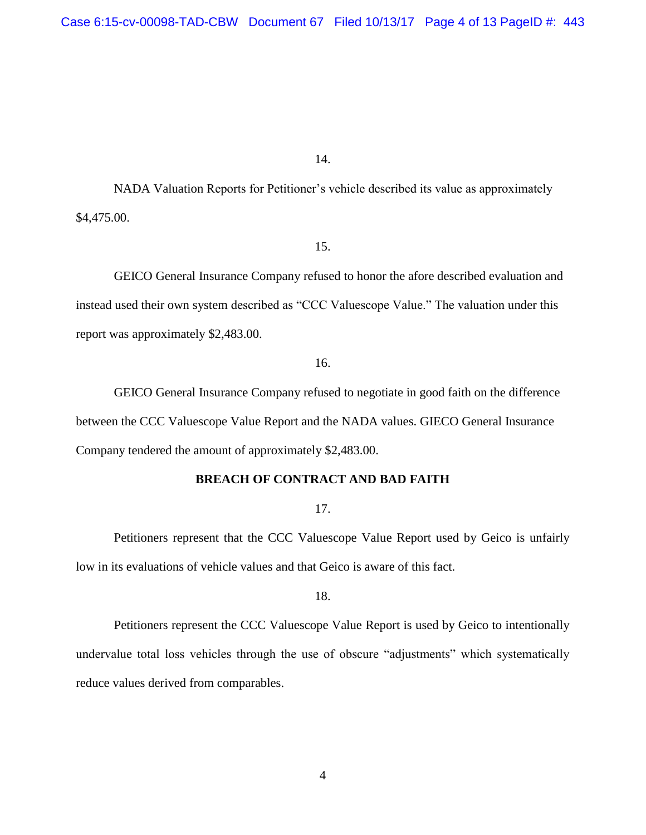NADA Valuation Reports for Petitioner's vehicle described its value as approximately \$4,475.00.

## 15.

GEICO General Insurance Company refused to honor the afore described evaluation and instead used their own system described as "CCC Valuescope Value." The valuation under this report was approximately \$2,483.00.

16.

GEICO General Insurance Company refused to negotiate in good faith on the difference between the CCC Valuescope Value Report and the NADA values. GIECO General Insurance Company tendered the amount of approximately \$2,483.00.

## **BREACH OF CONTRACT AND BAD FAITH**

17.

Petitioners represent that the CCC Valuescope Value Report used by Geico is unfairly low in its evaluations of vehicle values and that Geico is aware of this fact.

18.

Petitioners represent the CCC Valuescope Value Report is used by Geico to intentionally undervalue total loss vehicles through the use of obscure "adjustments" which systematically reduce values derived from comparables.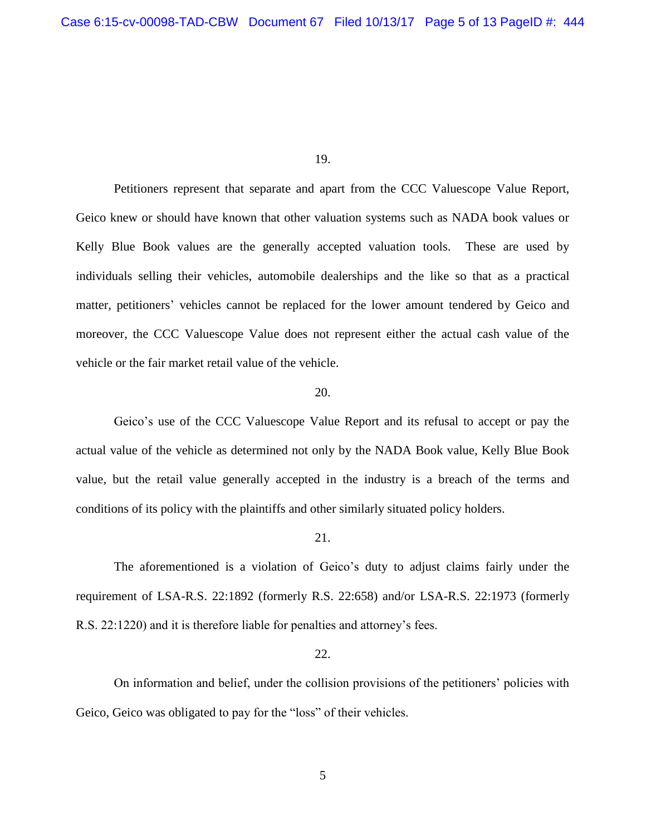Petitioners represent that separate and apart from the CCC Valuescope Value Report, Geico knew or should have known that other valuation systems such as NADA book values or Kelly Blue Book values are the generally accepted valuation tools. These are used by individuals selling their vehicles, automobile dealerships and the like so that as a practical matter, petitioners' vehicles cannot be replaced for the lower amount tendered by Geico and moreover, the CCC Valuescope Value does not represent either the actual cash value of the vehicle or the fair market retail value of the vehicle.

## 20.

Geico's use of the CCC Valuescope Value Report and its refusal to accept or pay the actual value of the vehicle as determined not only by the NADA Book value, Kelly Blue Book value, but the retail value generally accepted in the industry is a breach of the terms and conditions of its policy with the plaintiffs and other similarly situated policy holders.

#### 21.

The aforementioned is a violation of Geico's duty to adjust claims fairly under the requirement of LSA-R.S. 22:1892 (formerly R.S. 22:658) and/or LSA-R.S. 22:1973 (formerly R.S. 22:1220) and it is therefore liable for penalties and attorney's fees.

## 22.

On information and belief, under the collision provisions of the petitioners' policies with Geico, Geico was obligated to pay for the "loss" of their vehicles.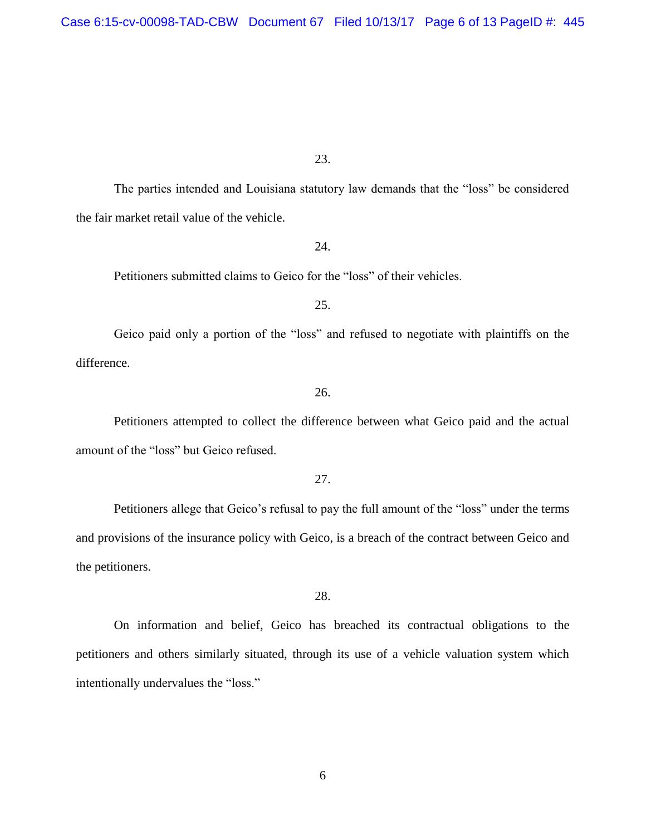The parties intended and Louisiana statutory law demands that the "loss" be considered the fair market retail value of the vehicle.

24.

Petitioners submitted claims to Geico for the "loss" of their vehicles.

25.

Geico paid only a portion of the "loss" and refused to negotiate with plaintiffs on the difference.

26.

Petitioners attempted to collect the difference between what Geico paid and the actual amount of the "loss" but Geico refused.

27.

Petitioners allege that Geico's refusal to pay the full amount of the "loss" under the terms and provisions of the insurance policy with Geico, is a breach of the contract between Geico and the petitioners.

28.

On information and belief, Geico has breached its contractual obligations to the petitioners and others similarly situated, through its use of a vehicle valuation system which intentionally undervalues the "loss."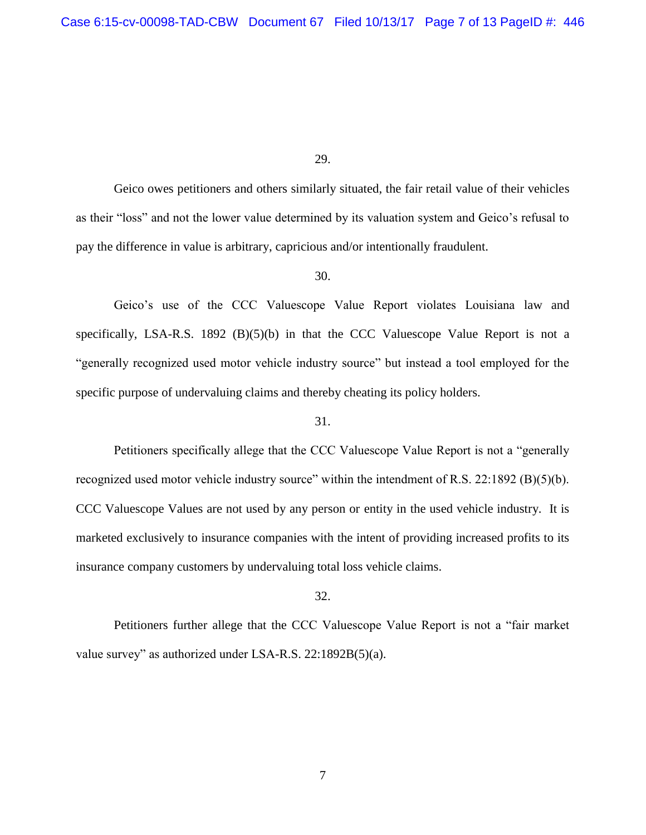Geico owes petitioners and others similarly situated, the fair retail value of their vehicles as their "loss" and not the lower value determined by its valuation system and Geico's refusal to pay the difference in value is arbitrary, capricious and/or intentionally fraudulent.

### 30.

Geico's use of the CCC Valuescope Value Report violates Louisiana law and specifically, LSA-R.S. 1892  $(B)(5)(b)$  in that the CCC Valuescope Value Report is not a "generally recognized used motor vehicle industry source" but instead a tool employed for the specific purpose of undervaluing claims and thereby cheating its policy holders.

#### 31.

Petitioners specifically allege that the CCC Valuescope Value Report is not a "generally recognized used motor vehicle industry source" within the intendment of R.S. 22:1892 (B)(5)(b). CCC Valuescope Values are not used by any person or entity in the used vehicle industry. It is marketed exclusively to insurance companies with the intent of providing increased profits to its insurance company customers by undervaluing total loss vehicle claims.

#### 32.

Petitioners further allege that the CCC Valuescope Value Report is not a "fair market value survey" as authorized under LSA-R.S. 22:1892B(5)(a).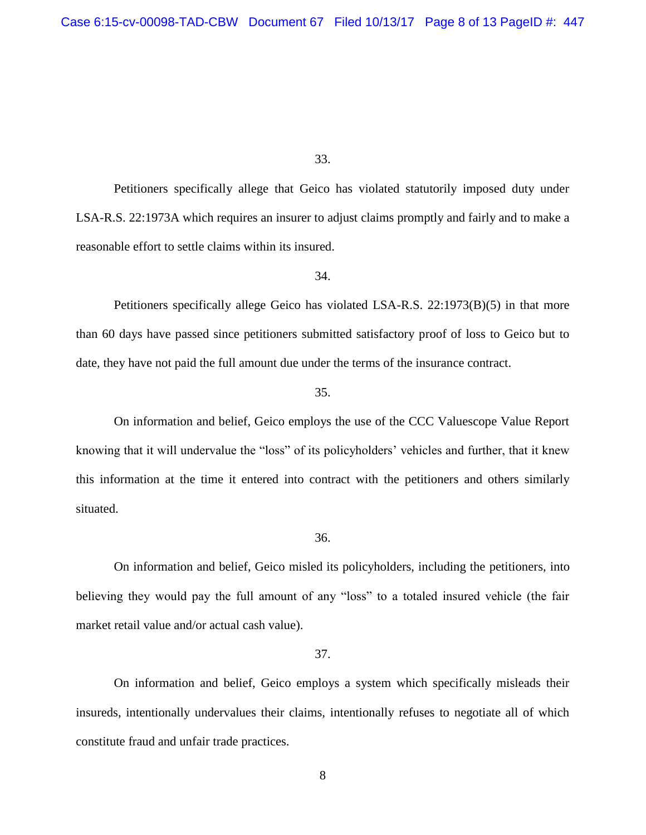Petitioners specifically allege that Geico has violated statutorily imposed duty under LSA-R.S. 22:1973A which requires an insurer to adjust claims promptly and fairly and to make a reasonable effort to settle claims within its insured.

#### 34.

Petitioners specifically allege Geico has violated LSA-R.S. 22:1973(B)(5) in that more than 60 days have passed since petitioners submitted satisfactory proof of loss to Geico but to date, they have not paid the full amount due under the terms of the insurance contract.

## 35.

On information and belief, Geico employs the use of the CCC Valuescope Value Report knowing that it will undervalue the "loss" of its policyholders' vehicles and further, that it knew this information at the time it entered into contract with the petitioners and others similarly situated.

#### 36.

On information and belief, Geico misled its policyholders, including the petitioners, into believing they would pay the full amount of any "loss" to a totaled insured vehicle (the fair market retail value and/or actual cash value).

## 37.

On information and belief, Geico employs a system which specifically misleads their insureds, intentionally undervalues their claims, intentionally refuses to negotiate all of which constitute fraud and unfair trade practices.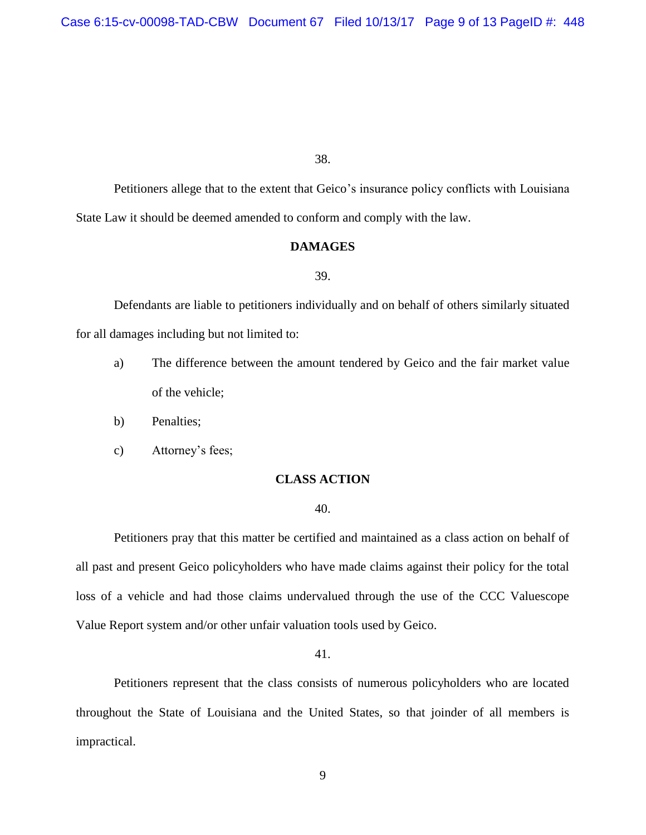Petitioners allege that to the extent that Geico's insurance policy conflicts with Louisiana State Law it should be deemed amended to conform and comply with the law.

## **DAMAGES**

#### 39.

Defendants are liable to petitioners individually and on behalf of others similarly situated for all damages including but not limited to:

- a) The difference between the amount tendered by Geico and the fair market value of the vehicle;
- b) Penalties;
- c) Attorney's fees;

## **CLASS ACTION**

## 40.

Petitioners pray that this matter be certified and maintained as a class action on behalf of all past and present Geico policyholders who have made claims against their policy for the total loss of a vehicle and had those claims undervalued through the use of the CCC Valuescope Value Report system and/or other unfair valuation tools used by Geico.

#### 41.

Petitioners represent that the class consists of numerous policyholders who are located throughout the State of Louisiana and the United States, so that joinder of all members is impractical.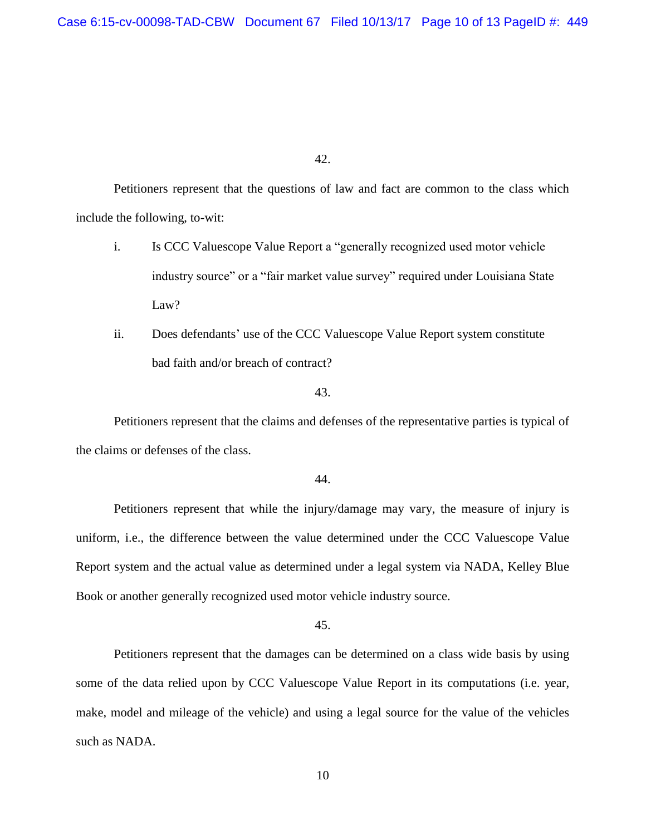Petitioners represent that the questions of law and fact are common to the class which include the following, to-wit:

- i. Is CCC Valuescope Value Report a "generally recognized used motor vehicle industry source" or a "fair market value survey" required under Louisiana State Law?
- ii. Does defendants' use of the CCC Valuescope Value Report system constitute bad faith and/or breach of contract?

43.

Petitioners represent that the claims and defenses of the representative parties is typical of the claims or defenses of the class.

44.

Petitioners represent that while the injury/damage may vary, the measure of injury is uniform, i.e., the difference between the value determined under the CCC Valuescope Value Report system and the actual value as determined under a legal system via NADA, Kelley Blue Book or another generally recognized used motor vehicle industry source.

45.

Petitioners represent that the damages can be determined on a class wide basis by using some of the data relied upon by CCC Valuescope Value Report in its computations (i.e. year, make, model and mileage of the vehicle) and using a legal source for the value of the vehicles such as NADA.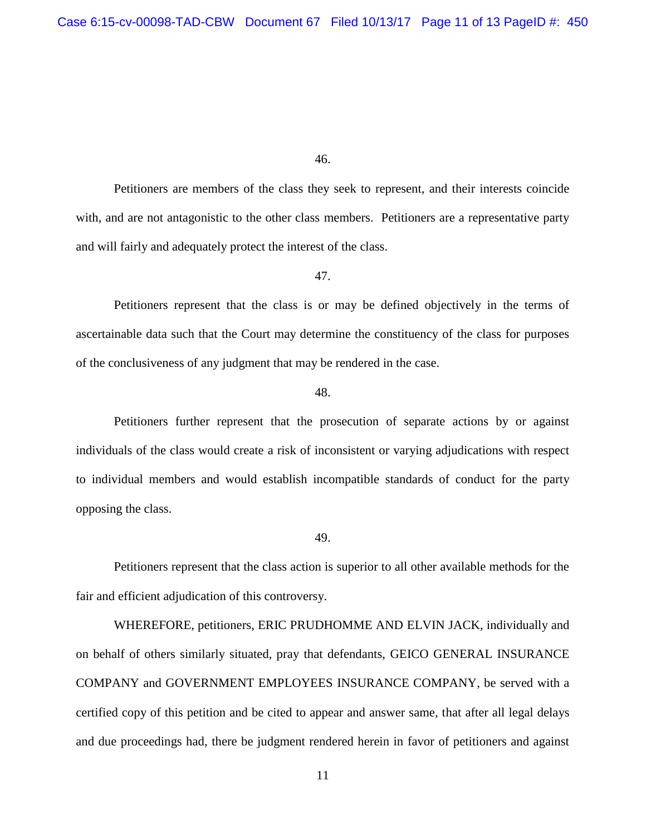Petitioners are members of the class they seek to represent, and their interests coincide with, and are not antagonistic to the other class members. Petitioners are a representative party and will fairly and adequately protect the interest of the class.

#### 47.

Petitioners represent that the class is or may be defined objectively in the terms of ascertainable data such that the Court may determine the constituency of the class for purposes of the conclusiveness of any judgment that may be rendered in the case.

#### 48.

Petitioners further represent that the prosecution of separate actions by or against individuals of the class would create a risk of inconsistent or varying adjudications with respect to individual members and would establish incompatible standards of conduct for the party opposing the class.

#### 49.

Petitioners represent that the class action is superior to all other available methods for the fair and efficient adjudication of this controversy.

WHEREFORE, petitioners, ERIC PRUDHOMME AND ELVIN JACK, individually and on behalf of others similarly situated, pray that defendants, GEICO GENERAL INSURANCE COMPANY and GOVERNMENT EMPLOYEES INSURANCE COMPANY, be served with a certified copy of this petition and be cited to appear and answer same, that after all legal delays and due proceedings had, there be judgment rendered herein in favor of petitioners and against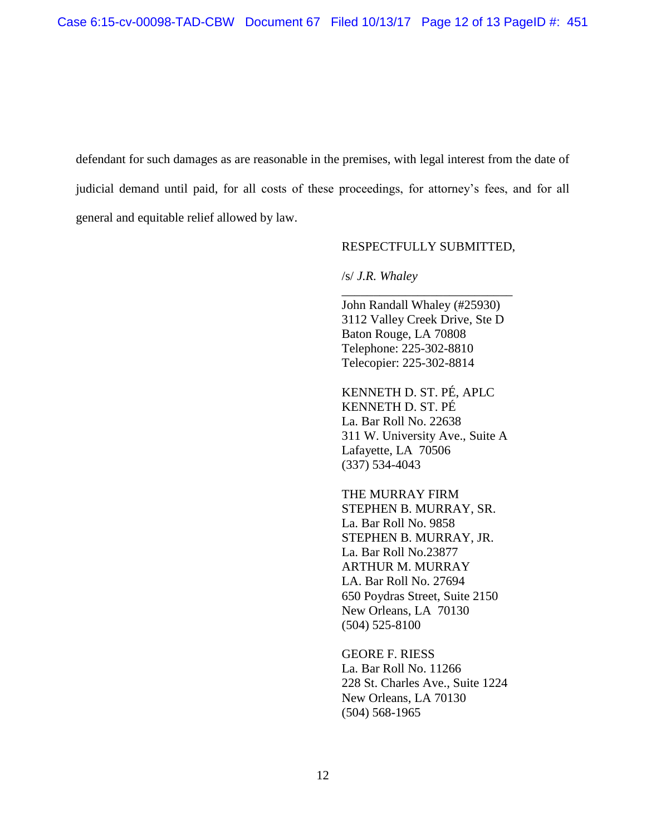defendant for such damages as are reasonable in the premises, with legal interest from the date of judicial demand until paid, for all costs of these proceedings, for attorney's fees, and for all general and equitable relief allowed by law.

## RESPECTFULLY SUBMITTED,

*\_\_\_\_\_\_\_\_\_\_\_\_\_\_\_\_\_\_\_\_\_\_\_\_\_\_\_*

## /s/ *J.R. Whaley*

John Randall Whaley (#25930) 3112 Valley Creek Drive, Ste D Baton Rouge, LA 70808 Telephone: 225-302-8810 Telecopier: 225-302-8814

KENNETH D. ST. PÉ, APLC KENNETH D. ST. PÉ La. Bar Roll No. 22638 311 W. University Ave., Suite A Lafayette, LA 70506 (337) 534-4043

THE MURRAY FIRM STEPHEN B. MURRAY, SR. La. Bar Roll No. 9858 STEPHEN B. MURRAY, JR. La. Bar Roll No.23877 ARTHUR M. MURRAY LA. Bar Roll No. 27694 650 Poydras Street, Suite 2150 New Orleans, LA 70130 (504) 525-8100

GEORE F. RIESS La. Bar Roll No. 11266 228 St. Charles Ave., Suite 1224 New Orleans, LA 70130 (504) 568-1965